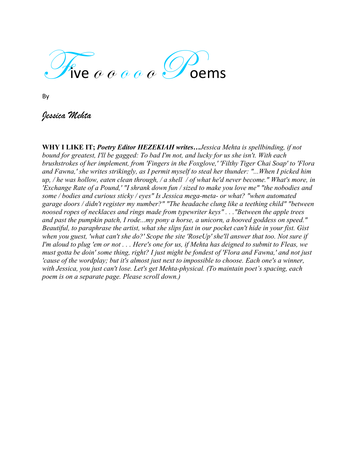

By

*Jessica Mehta*

**WHY I LIKE IT;** *Poetry Editor HEZEKIAH writes…Jessica Mehta is spellbinding, if not bound for greatest, I'll be gagged: To bad I'm not, and lucky for us she isn't. With each brushstrokes of her implement, from 'Fingers in the Foxglove,' 'Filthy Tiger Chai Soap' to 'Flora and Fawna,' she writes strikingly, as I permit myself to steal her thunder: "...When I picked him up, / he was hollow, eaten clean through, / a shell / of what he'd never become." What's more, in 'Exchange Rate of a Pound,' "I shrank down fun / sized to make you love me" "the nobodies and some / bodies and curious sticky / eyes" Is Jessica mega-meta- or what? "when automated garage doors / didn't register my number?" "The headache clung like a teething child" "between noosed ropes of necklaces and rings made from typewriter keys" . . ."Between the apple trees and past the pumpkin patch, I rode...my pony a horse, a unicorn, a hooved goddess on speed." Beautiful, to paraphrase the artist, what she slips fast in our pocket can't hide in your fist. Gist when you guest, 'what can't she do?' Scope the site 'RoseUp' she'll answer that too. Not sure if I'm aloud to plug 'em or not . . . Here's one for us, if Mehta has deigned to submit to Fleas, we must gotta be doin' some thing, right? I just might be fondest of 'Flora and Fawna,' and not just 'cause of the wordplay; but it's almost just next to impossible to choose. Each one's a winner, with Jessica, you just can't lose. Let's get Mehta-physical. (To maintain poet's spacing, each poem is on a separate page. Please scroll down.)*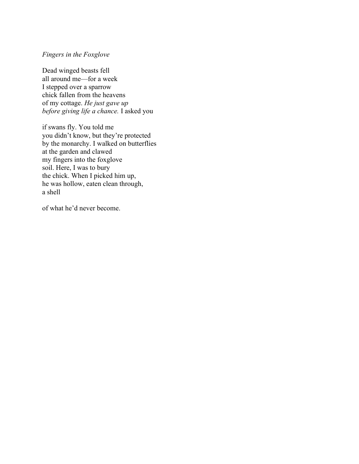### *Fingers in the Foxglove*

Dead winged beasts fell all around me—for a week I stepped over a sparrow chick fallen from the heavens of my cottage. *He just gave up before giving life a chance.* I asked you

if swans fly. You told me you didn't know, but they're protected by the monarchy. I walked on butterflies at the garden and clawed my fingers into the foxglove soil. Here, I was to bury the chick. When I picked him up, he was hollow, eaten clean through, a shell

of what he'd never become.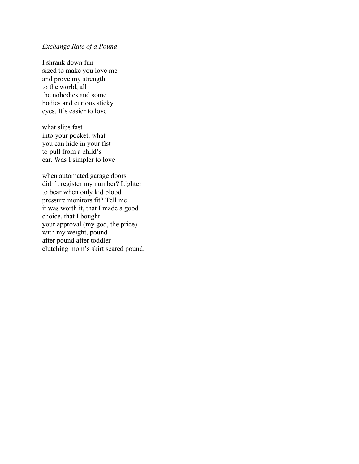# *Exchange Rate of a Pound*

I shrank down fun sized to make you love me and prove my strength to the world, all the nobodies and some bodies and curious sticky eyes. It's easier to love

what slips fast into your pocket, what you can hide in your fist to pull from a child's ear. Was I simpler to love

when automated garage doors didn't register my number? Lighter to bear when only kid blood pressure monitors fit? Tell me it was worth it, that I made a good choice, that I bought your approval (my god, the price) with my weight, pound after pound after toddler clutching mom's skirt scared pound.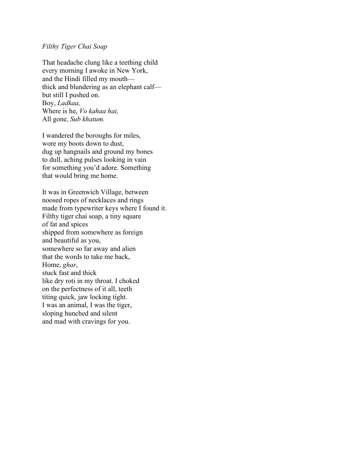## *Filthy Tiger Chai Soap*

That headache clung like a teething child every morning I awoke in New York, and the Hindi filled my mouth thick and blundering as an elephant calf but still I pushed on. Boy, *Ladkaa,* Where is he, *Vo kahaa hai,* All gone, *Sub khatum.*

I wandered the boroughs for miles, wore my boots down to dust, dug up hangnails and ground my bones to dull, aching pulses looking in vain for something you'd adore. Something that would bring me home.

It was in Greenwich Village, between noosed ropes of necklaces and rings made from typewriter keys where I found it. Filthy tiger chai soap, a tiny square of fat and spices shipped from somewhere as foreign and beautiful as you, somewhere so far away and alien that the words to take me back, Home, *ghar*, stuck fast and thick like dry roti in my throat. I choked on the perfectness of it all, teeth titing quick, jaw locking tight. I was an animal, I was the tiger, sloping hunched and silent and mad with cravings for you.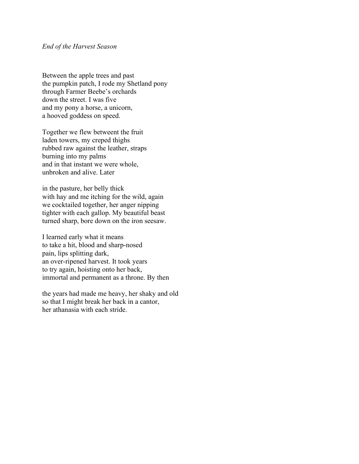### *End of the Harvest Season*

Between the apple trees and past the pumpkin patch, I rode my Shetland pony through Farmer Beebe's orchards down the street. I was five and my pony a horse, a unicorn, a hooved goddess on speed.

Together we flew betweent the fruit laden towers, my creped thighs rubbed raw against the leather, straps burning into my palms and in that instant we were whole, unbroken and alive. Later

in the pasture, her belly thick with hay and me itching for the wild, again we cocktailed together, her anger nipping tighter with each gallop. My beautiful beast turned sharp, bore down on the iron seesaw.

I learned early what it means to take a hit, blood and sharp-nosed pain, lips splitting dark, an over-ripened harvest. It took years to try again, hoisting onto her back, immortal and permanent as a throne. By then

the years had made me heavy, her shaky and old so that I might break her back in a cantor, her athanasia with each stride.